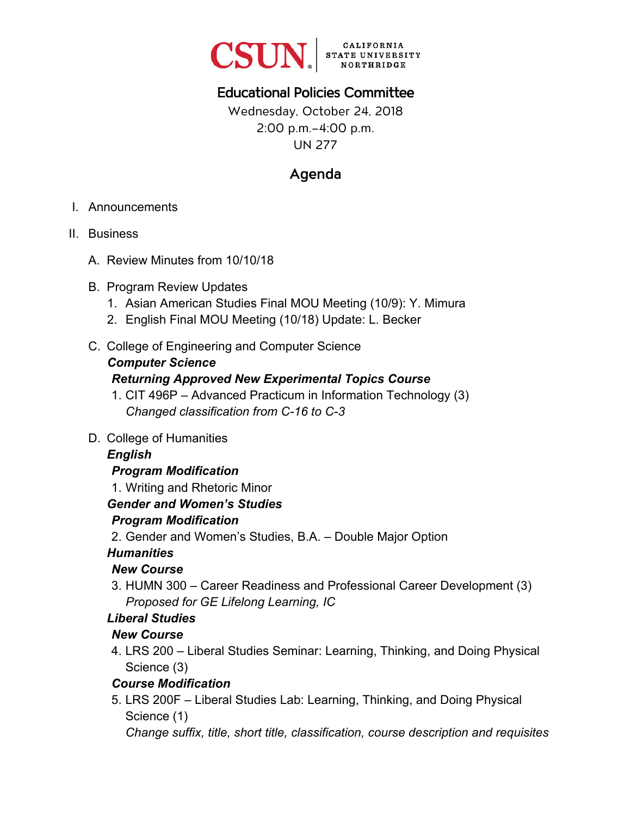

# Educational Policies Committee

Wednesday, October 24, 2018 2:00 p.m.–4:00 p.m. UN 277

# Agenda

- I. Announcements
- II. Business
	- A. Review Minutes from 10/10/18
	- B. Program Review Updates
		- 1. Asian American Studies Final MOU Meeting (10/9): Y. Mimura
		- 2. English Final MOU Meeting (10/18) Update: L. Becker
	- C. College of Engineering and Computer Science

## *Computer Science*

## *Returning Approved New Experimental Topics Course*

- 1. CIT 496P Advanced Practicum in Information Technology (3) *Changed classification from C-16 to C-3*
- D. College of Humanities

## *English*

## *Program Modification*

1. Writing and Rhetoric Minor

## *Gender and Women's Studies*

## *Program Modification*

2. Gender and Women's Studies, B.A. – Double Major Option

## *Humanities*

## *New Course*

3. HUMN 300 – Career Readiness and Professional Career Development (3) *Proposed for GE Lifelong Learning, IC* 

## *Liberal Studies*

## *New Course*

4. LRS 200 – Liberal Studies Seminar: Learning, Thinking, and Doing Physical Science (3)

## *Course Modification*

5. LRS 200F – Liberal Studies Lab: Learning, Thinking, and Doing Physical Science (1)

*Change suffix, title, short title, classification, course description and requisites*